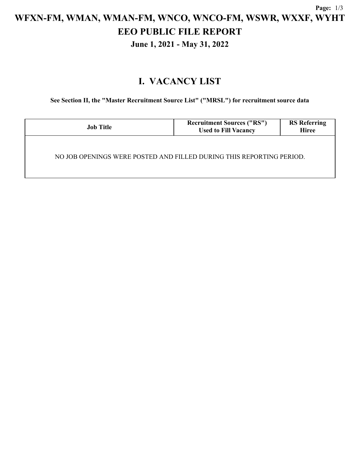# **WFXN-FM, WMAN, WMAN-FM, WNCO, WNCO-FM, WSWR, WXXF, WYHT EEO PUBLIC FILE REPORT**

**June 1, 2021 - May 31, 2022**

## **I. VACANCY LIST**

**See Section II, the "Master Recruitment Source List" ("MRSL") for recruitment source data**

| <b>Job Title</b>                                                     | <b>Recruitment Sources ("RS")</b><br><b>Used to Fill Vacancy</b> | <b>RS</b> Referring<br><b>Hiree</b> |  |  |  |
|----------------------------------------------------------------------|------------------------------------------------------------------|-------------------------------------|--|--|--|
| NO JOB OPENINGS WERE POSTED AND FILLED DURING THIS REPORTING PERIOD. |                                                                  |                                     |  |  |  |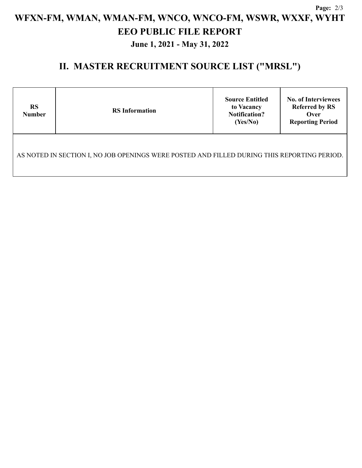## **Page:** 2/3 **WFXN-FM, WMAN, WMAN-FM, WNCO, WNCO-FM, WSWR, WXXF, WYHT EEO PUBLIC FILE REPORT June 1, 2021 - May 31, 2022**

#### **II. MASTER RECRUITMENT SOURCE LIST ("MRSL")**

| <b>RS</b><br><b>Number</b>                                                                  | <b>RS</b> Information | <b>Source Entitled</b><br>to Vacancy<br><b>Notification?</b><br>(Yes/No) | <b>No. of Interviewees</b><br><b>Referred by RS</b><br>Over<br><b>Reporting Period</b> |  |  |  |
|---------------------------------------------------------------------------------------------|-----------------------|--------------------------------------------------------------------------|----------------------------------------------------------------------------------------|--|--|--|
| AS NOTED IN SECTION I, NO JOB OPENINGS WERE POSTED AND FILLED DURING THIS REPORTING PERIOD. |                       |                                                                          |                                                                                        |  |  |  |